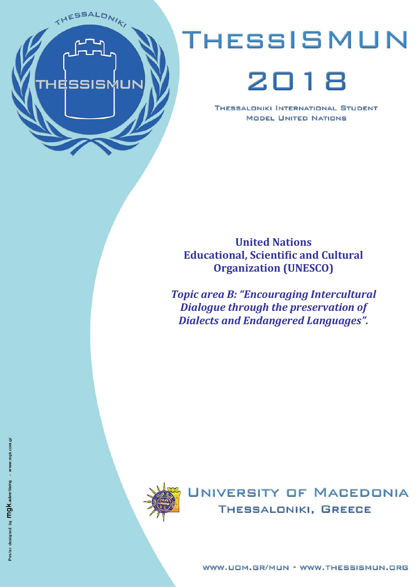

# THESSISMUN

## 2018

THESSALDNIKI INTERNATIONAL STUDENT **MODEL UNITED NATIONS** 

## **United Nations Educational, Scientific and Cultural Organization (UNESCO)**

*Topic area B: "Encouraging Intercultural Dialogue through the preservation of Dialects and Endangered Languages".*



UNIVERSITY OF MACEDONIA THESSALONIKI, GREECE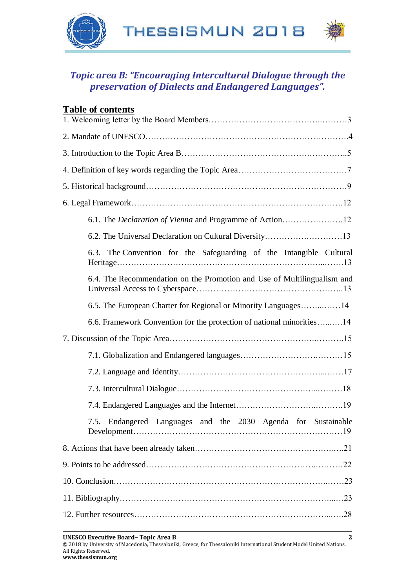

## *Topic area B: "Encouraging Intercultural Dialogue through the preservation of Dialects and Endangered Languages".*

| <b>Table of contents</b>                                                |
|-------------------------------------------------------------------------|
|                                                                         |
|                                                                         |
|                                                                         |
|                                                                         |
|                                                                         |
|                                                                         |
| 6.1. The <i>Declaration of Vienna</i> and Programme of Action12         |
|                                                                         |
| 6.3. The Convention for the Safeguarding of the Intangible Cultural     |
| 6.4. The Recommendation on the Promotion and Use of Multilingualism and |
| 6.5. The European Charter for Regional or Minority Languages14          |
| 6.6. Framework Convention for the protection of national minorities14   |
|                                                                         |
|                                                                         |
|                                                                         |
|                                                                         |
|                                                                         |
| 7.5. Endangered Languages and the 2030 Agenda for Sustainable           |
|                                                                         |
|                                                                         |
|                                                                         |
|                                                                         |
|                                                                         |

© 2018 by University of Macedonia, Thessaloniki, Greece, for Thessaloniki International Student Model United Nations. All Rights Reserved. **www.thessismun.org**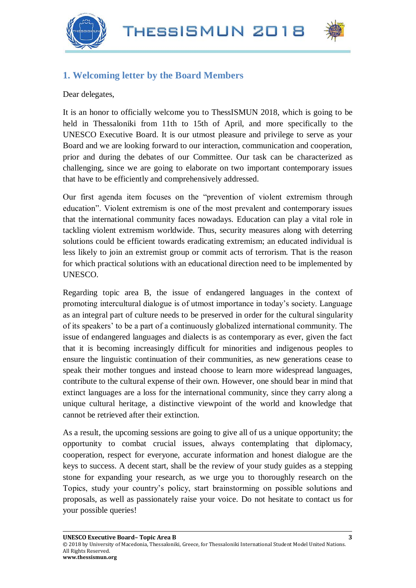THESSISMUN 2018





## **1. Welcoming letter by the Board Members**

Dear delegates,

It is an honor to officially welcome you to ThessISMUN 2018, which is going to be held in Thessaloniki from 11th to 15th of April, and more specifically to the UNESCO Executive Board. It is our utmost pleasure and privilege to serve as your Board and we are looking forward to our interaction, communication and cooperation, prior and during the debates of our Committee. Our task can be characterized as challenging, since we are going to elaborate on two important contemporary issues that have to be efficiently and comprehensively addressed.

Our first agenda item focuses on the "prevention of violent extremism through education". Violent extremism is one of the most prevalent and contemporary issues that the international community faces nowadays. Education can play a vital role in tackling violent extremism worldwide. Thus, security measures along with deterring solutions could be efficient towards eradicating extremism; an educated individual is less likely to join an extremist group or commit acts of terrorism. That is the reason for which practical solutions with an educational direction need to be implemented by UNESCO.

Regarding topic area B, the issue of endangered languages in the context of promoting intercultural dialogue is of utmost importance in today's society. Language as an integral part of culture needs to be preserved in order for the cultural singularity of its speakers' to be a part of a continuously globalized international community. The issue of endangered languages and dialects is as contemporary as ever, given the fact that it is becoming increasingly difficult for minorities and indigenous peoples to ensure the linguistic continuation of their communities, as new generations cease to speak their mother tongues and instead choose to learn more widespread languages, contribute to the cultural expense of their own. However, one should bear in mind that extinct languages are a loss for the international community, since they carry along a unique cultural heritage, a distinctive viewpoint of the world and knowledge that cannot be retrieved after their extinction.

As a result, the upcoming sessions are going to give all of us a unique opportunity; the opportunity to combat crucial issues, always contemplating that diplomacy, cooperation, respect for everyone, accurate information and honest dialogue are the keys to success. A decent start, shall be the review of your study guides as a stepping stone for expanding your research, as we urge you to thoroughly research on the Topics, study your country's policy, start brainstorming on possible solutions and proposals, as well as passionately raise your voice. Do not hesitate to contact us for your possible queries!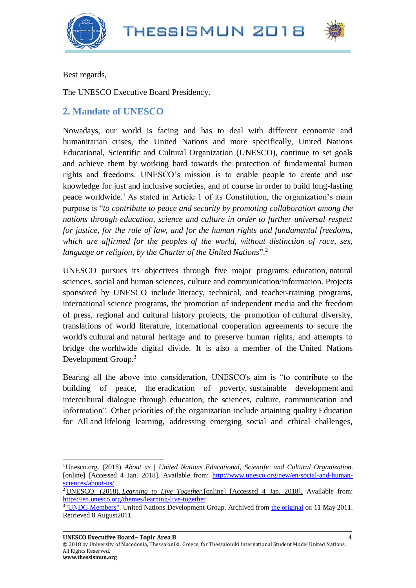



Best regards,

The UNESCO Executive Board Presidency.

## **2. Mandate of UNESCO**

Nowadays, our world is facing and has to deal with different economic and humanitarian crises, the United Nations and more specifically, United Nations Educational, Scientific and Cultural Organization (UNESCO), continue to set goals and achieve them by working hard towards the protection of fundamental human rights and freedoms. UNESCO's mission is to enable people to create and use knowledge for just and inclusive societies, and of course in order to build long-lasting peace worldwide.<sup>1</sup> As stated in Article 1 of its Constitution, the organization's main purpose is "*to contribute to peace and security by promoting collaboration among the nations through education, science and culture in order to further universal respect for justice, for the rule of law, and for the human rights and fundamental freedoms, which are affirmed for the peoples of the world, without distinction of race, sex, language or religion, by the Charter of the United Nations*".<sup>2</sup>

UNESCO pursues its objectives through five major programs: education, natural sciences, social and human sciences, culture and communication/information. Projects sponsored by UNESCO include literacy, technical, and teacher-training programs, international science programs, the promotion of independent media and the freedom of press, regional and cultural history projects, the promotion of cultural diversity, translations of world literature, international cooperation agreements to secure the world's cultural and natural heritage and to preserve human rights, and attempts to bridge the worldwide digital divide. It is also a member of the United Nations Development Group.<sup>3</sup>

Bearing all the above into consideration, UNESCO's aim is "to contribute to the building of peace, the eradication of poverty, sustainable development and intercultural dialogue through education, the sciences, culture, communication and information". Other priorities of the organization include attaining quality Education for All and lifelong learning, addressing emerging social and ethical challenges,

© 2018 by University of Macedonia, Thessaloniki, Greece, for Thessaloniki International Student Model United Nations. All Rights Reserved.

 $\overline{\phantom{a}}$ 

<sup>1</sup>Unesco.org. (2018). *About us | United Nations Educational, Scientific and Cultural Organization*. [online] [Accessed 4 Jan. 2018]. Available from: [http://www.unesco.org/new/en/social-and-human](http://www.unesco.org/new/en/social-and-human-sciences/about-us/)[sciences/about-us/](http://www.unesco.org/new/en/social-and-human-sciences/about-us/)

<sup>&</sup>lt;sup>2</sup> UNESCO. (2018). *Learning to Live Together*. [online] [Accessed 4 Jan. 2018]. Available from: <https://en.unesco.org/themes/learning-live-together>

<sup>&</sup>lt;sup>3</sup>["UNDG Members".](https://web.archive.org/web/20110511144047/http:/www.undg.org/index.cfm?P=13) United Nations Development Group. Archived from [the original](http://www.undg.org/index.cfm?P=13) on 11 May 2011. Retrieved 8 August2011.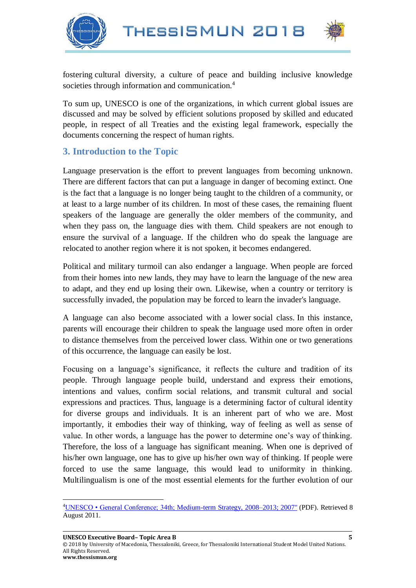

l



fostering cultural diversity, a culture of peace and building inclusive knowledge societies through information and communication.<sup>4</sup>

To sum up, UNESCO is one of the organizations, in which current global issues are discussed and may be solved by efficient solutions proposed by skilled and educated people, in respect of all Treaties and the existing legal framework, especially the documents concerning the respect of human rights.

## **3. Introduction to the Topic**

Language preservation is the effort to prevent languages from becoming unknown. There are different factors that can put a language in danger of becoming extinct. One is the fact that a language is no longer being taught to the children of a community, or at least to a large number of its children. In most of these cases, the remaining fluent speakers of the language are generally the older members of the community, and when they pass on, the language dies with them. Child speakers are not enough to ensure the survival of a language. If the children who do speak the language are relocated to another region where it is not spoken, it becomes endangered.

Political and military turmoil can also endanger a language. When people are forced from their homes into new lands, they may have to learn the language of the new area to adapt, and they end up losing their own. Likewise, when a country or territory is successfully invaded, the population may be forced to learn the invader's language.

A language can also become associated with a lower social class. In this instance, parents will encourage their children to speak the language used more often in order to distance themselves from the perceived lower class. Within one or two generations of this occurrence, the language can easily be lost.

Focusing on a language's significance, it reflects the culture and tradition of its people. Through language people build, understand and express their emotions, intentions and values, confirm social relations, and transmit cultural and social expressions and practices. Thus, language is a determining factor of cultural identity for diverse groups and individuals. It is an inherent part of who we are. Most importantly, it embodies their way of thinking, way of feeling as well as sense of value. In other words, a language has the power to determine one's way of thinking. Therefore, the loss of a language has significant meaning. When one is deprived of his/her own language, one has to give up his/her own way of thinking. If people were forced to use the same language, this would lead to uniformity in thinking. Multilingualism is one of the most essential elements for the further evolution of our

<sup>4</sup>[UNESCO • General Conference; 34th; Medium-term Strategy, 2008–2013; 2007"](http://unesdoc.unesco.org/images/0014/001499/149999e.pdf) (PDF). Retrieved 8 August 2011.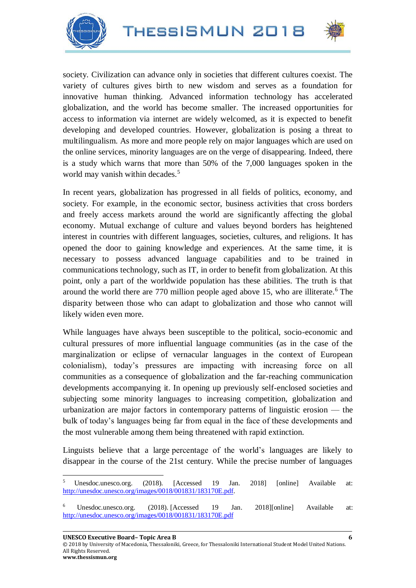





society. Civilization can advance only in societies that different cultures coexist. The variety of cultures gives birth to new wisdom and serves as a foundation for innovative human thinking. Advanced information technology has accelerated globalization, and the world has become smaller. The increased opportunities for access to information via internet are widely welcomed, as it is expected to benefit developing and developed countries. However, globalization is posing a threat to multilingualism. As more and more people rely on major languages which are used on the online services, minority languages are on the verge of disappearing. Indeed, there is a study which warns that more than 50% of the 7,000 languages spoken in the world may vanish within decades.<sup>5</sup>

In recent years, globalization has progressed in all fields of politics, economy, and society. For example, in the economic sector, business activities that cross borders and freely access markets around the world are significantly affecting the global economy. Mutual exchange of culture and values beyond borders has heightened interest in countries with different languages, societies, cultures, and religions. It has opened the door to gaining knowledge and experiences. At the same time, it is necessary to possess advanced language capabilities and to be trained in communications technology, such as IT, in order to benefit from globalization. At this point, only a part of the worldwide population has these abilities. The truth is that around the world there are 770 million people aged above 15, who are illiterate.<sup>6</sup> The disparity between those who can adapt to globalization and those who cannot will likely widen even more.

While languages have always been susceptible to the political, socio-economic and cultural pressures of more influential language communities (as in the case of the marginalization or eclipse of vernacular languages in the context of European colonialism), today's pressures are impacting with increasing force on all communities as a consequence of globalization and the far-reaching communication developments accompanying it. In opening up previously self-enclosed societies and subjecting some minority languages to increasing competition, globalization and urbanization are major factors in contemporary patterns of linguistic erosion — the bulk of today's languages being far from equal in the face of these developments and the most vulnerable among them being threatened with rapid extinction.

Linguists believe that a large percentage of the world's languages are likely to disappear in the course of the 21st century. While the precise number of languages

**UNESCO Executive Board– Topic Area B 6**

© 2018 by University of Macedonia, Thessaloniki, Greece, for Thessaloniki International Student Model United Nations. All Rights Reserved.

 $\overline{\phantom{a}}$ 

<sup>5</sup> Unesdoc.unesco.org. (2018). [Accessed 19 Jan. 2018] [online] Available at: [http://unesdoc.unesco.org/images/0018/001831/183170E.pdf.](http://unesdoc.unesco.org/images/0018/001831/183170E.pdf)

<sup>6</sup> Unesdoc.unesco.org. (2018). [Accessed 19 Jan. 2018][online] Available at: <http://unesdoc.unesco.org/images/0018/001831/183170E.pdf>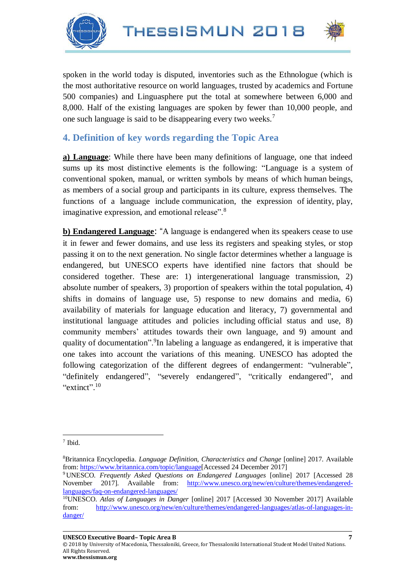



spoken in the world today is disputed, inventories such as the Ethnologue (which is the most authoritative resource on world languages, trusted by academics and Fortune 500 companies) and Linguasphere put the total at somewhere between 6,000 and 8,000. Half of the existing languages are spoken by fewer than 10,000 people, and one such language is said to be disappearing every two weeks.<sup>7</sup>

## **4. Definition of key words regarding the Topic Area**

**a) Language**: While there have been many definitions of language, one that indeed sums up its most distinctive elements is the following: "Language is a system of conventional spoken, manual, or written symbols by means of which [human](https://www.britannica.com/topic/human-being) beings, as members of a [social group](https://www.britannica.com/topic/social-group) and participants in its [culture,](https://www.merriam-webster.com/dictionary/culture) express themselves. The functions of a language include [communication,](https://www.britannica.com/topic/communication) the expression of [identity,](https://www.britannica.com/topic/personal-identity) [play,](https://www.britannica.com/topic/play-behaviour) imaginative expression, and [emotional](https://www.britannica.com/topic/emotion) release".<sup>8</sup>

**b) Endangered Language**: "A language is endangered when its speakers cease to use it in fewer and fewer domains, and use less its registers and speaking styles, or stop passing it on to the next generation. No single factor determines whether a language is endangered, but UNESCO experts have identified nine factors that should be considered together. These are: 1) intergenerational language transmission, 2) absolute number of speakers, 3) proportion of speakers within the total population, 4) shifts in domains of language use, 5) response to new domains and media, 6) availability of materials for language education and literacy, 7) governmental and institutional language attitudes and policies including official status and use, 8) community members' attitudes towards their own language, and 9) amount and quality of documentation".<sup>9</sup>In labeling a language as endangered, it is imperative that one takes into account the variations of this meaning. UNESCO has adopted the following categorization of the different degrees of endangerment: "vulnerable", "definitely endangered", "severely endangered", "critically endangered", and "extinct". $10$ 

© 2018 by University of Macedonia, Thessaloniki, Greece, for Thessaloniki International Student Model United Nations. All Rights Reserved.

 $\overline{\phantom{a}}$ 7 Ibid.

<sup>8</sup>Britannica Encyclopedia. *Language Definition, Characteristics and Change* [online] 2017. Available from[: https://www.britannica.com/topic/language\[](https://www.britannica.com/topic/language)Accessed 24 December 2017]

<sup>9</sup> UNESCO*. Frequently Asked Questions on Endangered Languages* [online] 2017 [Accessed 28 November 2017]. Available from: [http://www.unesco.org/new/en/culture/themes/endangered](http://www.unesco.org/new/en/culture/themes/endangered-languages/faq-on-endangered-languages/)[languages/faq-on-endangered-languages/](http://www.unesco.org/new/en/culture/themes/endangered-languages/faq-on-endangered-languages/)

<sup>10</sup>UNESCO. *Atlas of Languages in Danger* [online] 2017 [Accessed 30 November 2017] Available from: [http://www.unesco.org/new/en/culture/themes/endangered-languages/atlas-of-languages-in](http://www.unesco.org/new/en/culture/themes/endangered-languages/atlas-of-languages-in-danger/)[danger/](http://www.unesco.org/new/en/culture/themes/endangered-languages/atlas-of-languages-in-danger/)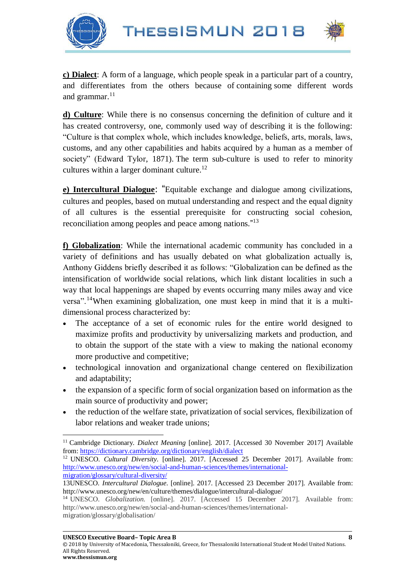



**c) Dialect**: A form of a language, which people speak in a [particular](https://dictionary.cambridge.org/dictionary/english/particular) [part](https://dictionary.cambridge.org/dictionary/english/part) of a [country,](https://dictionary.cambridge.org/dictionary/english/country) and differentiates from the others because of [containing](https://dictionary.cambridge.org/dictionary/english/contain) some different words and [grammar.](https://dictionary.cambridge.org/dictionary/english/grammar)<sup>11</sup>

**d) Culture**: While there is no consensus concerning the definition of culture and it has created controversy, one, commonly used way of describing it is the following: "Culture is that complex whole, which includes knowledge, beliefs, arts, morals, laws, customs, and any other capabilities and habits acquired by a human as a member of society" (Edward Tylor, 1871). The term sub-culture is used to refer to minority cultures within a larger dominant culture.<sup>12</sup>

**e) Intercultural Dialogue**: "Equitable exchange and dialogue among civilizations, cultures and peoples, based on mutual understanding and respect and the equal dignity of all cultures is the essential prerequisite for constructing social cohesion, reconciliation among peoples and peace among nations."<sup>13</sup>

**f) Globalization**: While the international academic community has concluded in a variety of definitions and has usually debated on what globalization actually is, Anthony Giddens briefly described it as follows: "Globalization can be defined as the intensification of worldwide social relations, which link distant localities in such a way that local happenings are shaped by events occurring many miles away and vice versa".<sup>14</sup>When examining globalization, one must keep in mind that it is a multidimensional process characterized by:

- The acceptance of a set of economic rules for the entire world designed to maximize profits and productivity by universalizing markets and production, and to obtain the support of the state with a view to making the national economy more productive and competitive;
- technological innovation and organizational change centered on flexibilization and adaptability;
- the expansion of a specific form of social organization based on information as the main source of productivity and power;
- the reduction of the welfare state, privatization of social services, flexibilization of labor relations and weaker trade unions;

 $\overline{\phantom{a}}$ <sup>11</sup> Cambridge Dictionary. *Dialect Meaning* [online]. 2017. [Accessed 30 November 2017] Available from[: https://dictionary.cambridge.org/dictionary/english/dialect](https://dictionary.cambridge.org/dictionary/english/dialect)

<sup>12</sup> UNESCO. *Cultural Diversity*. [online]. 2017. [Accessed 25 December 2017]. Available from: [http://www.unesco.org/new/en/social-and-human-sciences/themes/international](http://www.unesco.org/new/en/social-and-human-sciences/themes/international-migration/glossary/cultural-diversity/)[migration/glossary/cultural-diversity/](http://www.unesco.org/new/en/social-and-human-sciences/themes/international-migration/glossary/cultural-diversity/)

<sup>13</sup>UNESCO. *Intercultural Dialogue*. [online]. 2017. [Accessed 23 December 2017]. Available from: <http://www.unesco.org/new/en/culture/themes/dialogue/intercultural-dialogue/>

<sup>14</sup> UNESCO. *Globalization.* [online]. 2017. [Accessed 15 December 2017]. Available from: [http://www.unesco.org/new/en/social-and-human-sciences/themes/international](http://www.unesco.org/new/en/social-and-human-sciences/themes/international-migration/glossary/globalisation/)[migration/glossary/globalisation/](http://www.unesco.org/new/en/social-and-human-sciences/themes/international-migration/glossary/globalisation/)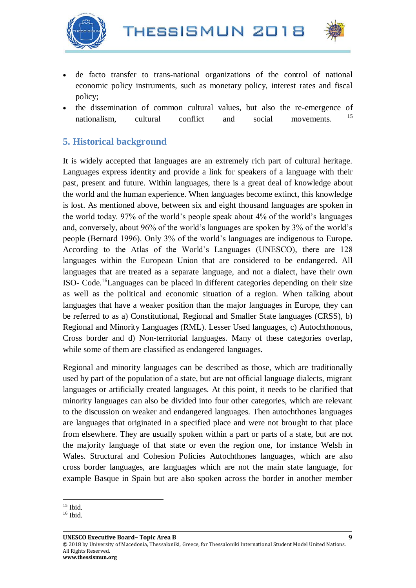



- de facto transfer to trans-national organizations of the control of national economic policy instruments, such as monetary policy, interest rates and fiscal policy;
- the dissemination of common cultural values, but also the re-emergence of nationalism, cultural conflict and social movements. <sup>15</sup>

## **5. Historical background**

It is widely accepted that languages are an extremely rich part of cultural heritage. Languages express identity and provide a link for speakers of a language with their past, present and future. Within languages, there is a great deal of knowledge about the world and the human experience. When languages become extinct, this knowledge is lost. As mentioned above, between six and eight thousand languages are spoken in the world today. 97% of the world's people speak about 4% of the world's languages and, conversely, about 96% of the world's languages are spoken by 3% of the world's people (Bernard 1996). Only 3% of the world's languages are indigenous to Europe. According to the Atlas of the World's Languages (UNESCO), there are 128 languages within the European Union that are considered to be endangered. All languages that are treated as a separate language, and not a dialect, have their own ISO- Code.<sup>16</sup>Languages can be placed in different categories depending on their size as well as the political and economic situation of a region. When talking about languages that have a weaker position than the major languages in Europe, they can be referred to as a) Constitutional, Regional and Smaller State languages (CRSS), b) Regional and Minority Languages (RML). Lesser Used languages, c) Autochthonous, Cross border and d) Non-territorial languages. Many of these categories overlap, while some of them are classified as endangered languages.

Regional and minority languages can be described as those, which are traditionally used by part of the population of a state, but are not official language dialects, migrant languages or artificially created languages. At this point, it needs to be clarified that minority languages can also be divided into four other categories, which are relevant to the discussion on weaker and endangered languages. Then autochthones languages are languages that originated in a specified place and were not brought to that place from elsewhere. They are usually spoken within a part or parts of a state, but are not the majority language of that state or even the region one, for instance Welsh in Wales. Structural and Cohesion Policies Autochthones languages, which are also cross border languages, are languages which are not the main state language, for example Basque in Spain but are also spoken across the border in another member

l <sup>15</sup> Ibid.

<sup>&</sup>lt;sup>16</sup> Ibid.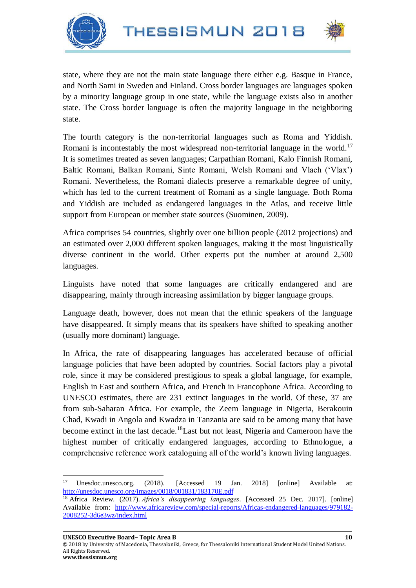



state, where they are not the main state language there either e.g. Basque in France, and North Sami in Sweden and Finland. Cross border languages are languages spoken by a minority language group in one state, while the language exists also in another state. The Cross border language is often the majority language in the neighboring state.

The fourth category is the non-territorial languages such as Roma and Yiddish. Romani is incontestably the most widespread non-territorial language in the world.<sup>17</sup> It is sometimes treated as seven languages; Carpathian Romani, Kalo Finnish Romani, Baltic Romani, Balkan Romani, Sinte Romani, Welsh Romani and Vlach ('Vlax') Romani. Nevertheless, the Romani dialects preserve a remarkable degree of unity, which has led to the current treatment of Romani as a single language. Both Roma and Yiddish are included as endangered languages in the Atlas, and receive little support from European or member state sources (Suominen, 2009).

Africa comprises 54 countries, slightly over one billion people (2012 projections) and an estimated over 2,000 different spoken languages, making it the most linguistically diverse continent in the world. Other experts put the number at around 2,500 languages.

Linguists have noted that some languages are critically endangered and are disappearing, mainly through increasing assimilation by bigger language groups.

Language death, however, does not mean that the ethnic speakers of the language have disappeared. It simply means that its speakers have shifted to speaking another (usually more dominant) language.

In Africa, the rate of disappearing languages has accelerated because of official language policies that have been adopted by countries. Social factors play a pivotal role, since it may be considered prestigious to speak a global language, for example, English in East and southern Africa, and French in Francophone Africa. According to UNESCO estimates, there are 231 extinct languages in the world. Of these, 37 are from sub-Saharan Africa. For example, the Zeem language in Nigeria, Berakouin Chad, Kwadi in Angola and Kwadza in Tanzania are said to be among many that have become extinct in the last decade.<sup>18</sup>Last but not least, Nigeria and Cameroon have the highest number of critically endangered languages, according to Ethnologue, a comprehensive reference work cataloguing all of the world's known living languages.

l

© 2018 by University of Macedonia, Thessaloniki, Greece, for Thessaloniki International Student Model United Nations. All Rights Reserved. **www.thessismun.org**

<sup>17</sup> Unesdoc.unesco.org. (2018). [Accessed 19 Jan. 2018] [online] Available at: <http://unesdoc.unesco.org/images/0018/001831/183170E.pdf>

<sup>18</sup> Africa Review. (2017). *Africa's disappearing languages*. [Accessed 25 Dec. 2017]. [online] Available from: [http://www.africareview.com/special-reports/Africas-endangered-languages/979182-](http://www.africareview.com/special-reports/Africas-endangered-languages/979182-2008252-3d6e3wz/index.html) [2008252-3d6e3wz/index.html](http://www.africareview.com/special-reports/Africas-endangered-languages/979182-2008252-3d6e3wz/index.html)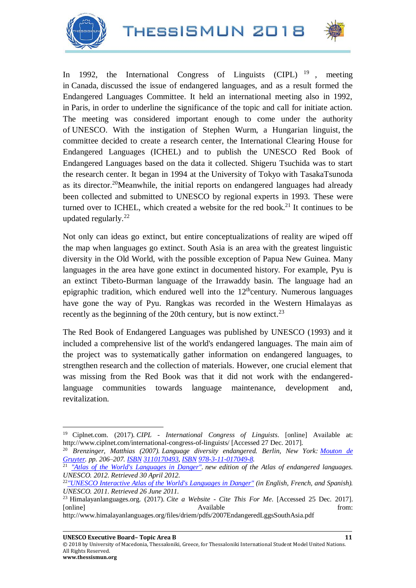



In 1992, the International Congress of Linguists (CIPL)  $^{19}$  , meeting in Canada, discussed the issue of endangered languages, and as a result formed the Endangered Languages Committee. It held an international meeting also in 1992, in Paris, in order to underline the significance of the topic and call for initiate action. The meeting was considered important enough to come under the authority of UNESCO. With the instigation of Stephen Wurm, a Hungarian linguist, the committee decided to create a research center, the International Clearing House for Endangered Languages (ICHEL) and to publish the UNESCO Red Book of Endangered Languages based on the data it collected. Shigeru Tsuchida was to start the research center. It began in 1994 at the University of Tokyo with TasakaTsunoda as its director.<sup>20</sup>Meanwhile, the initial reports on endangered languages had already been collected and submitted to UNESCO by regional experts in 1993. These were turned over to ICHEL, which created a website for the red book.<sup>21</sup> It continues to be updated regularly.<sup>22</sup>

Not only can ideas go extinct, but entire conceptualizations of reality are wiped off the map when languages go extinct. South Asia is an area with the greatest linguistic diversity in the Old World, with the possible exception of Papua New Guinea. Many languages in the area have gone extinct in documented history. For example, Pyu is an extinct Tibeto-Burman language of the Irrawaddy basin. The language had an epigraphic tradition, which endured well into the  $12<sup>th</sup>$ century. Numerous languages have gone the way of Pyu. Rangkas was recorded in the Western Himalayas as recently as the beginning of the 20th century, but is now extinct.<sup>23</sup>

The Red Book of Endangered Languages was published by UNESCO (1993) and it included a comprehensive list of the world's endangered languages. The main aim of the project was to systematically gather information on endangered languages, to strengthen research and the collection of materials. However, one crucial element that was missing from the Red Book was that it did not work with the endangeredlanguage communities towards language maintenance, development and, revitalization.

 $\overline{\phantom{a}}$ 

<sup>19</sup> Ciplnet.com. (2017). *CIPL - International Congress of Linguists*. [online] Available at: http://www.ciplnet.com/international-congress-of-linguists/ [Accessed 27 Dec. 2017].

<sup>20</sup> *Brenzinger, Matthias (2007). Language diversity endangered. Berlin, New York: [Mouton de](https://en.wikipedia.org/wiki/Mouton_de_Gruyter)  [Gruyter.](https://en.wikipedia.org/wiki/Mouton_de_Gruyter) pp. 206–207. [ISBN](https://en.wikipedia.org/wiki/International_Standard_Book_Number_(identifier)) [3110170493,](https://en.wikipedia.org/wiki/Special:BookSources/3110170493) [ISBN](https://en.wikipedia.org/wiki/International_Standard_Book_Number_(identifier)) [978-3-11-017049-8.](https://en.wikipedia.org/wiki/Special:BookSources/978-3-11-017049-8)*

<sup>21</sup> *["Atlas of the World's Languages in Danger".](http://www.unesco.org/new/en/culture/themes/endangered-languages/atlas-of-languages-in-danger/) new edition of the Atlas of endangered languages. UNESCO. 2012. Retrieved 30 April 2012.*

<sup>22</sup>*["UNESCO Interactive Atlas of the World's Languages in Danger"](http://www.unesco.org/new/en/culture/themes/endangered-languages/atlas-of-languages-in-danger/) (in English, French, and Spanish). UNESCO. 2011. Retrieved 26 June 2011.*

<sup>23</sup> Himalayanlanguages.org. (2017). *Cite a Website - Cite This For Me*. [Accessed 25 Dec. 2017]. [online] **Available** from:

http://www.himalayanlanguages.org/files/driem/pdfs/2007EndangeredLggsSouthAsia.pdf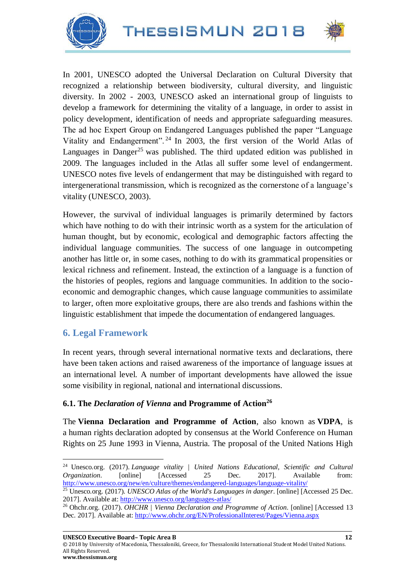



In 2001, UNESCO adopted the Universal Declaration on Cultural Diversity that recognized a relationship between biodiversity, cultural diversity, and linguistic diversity. In 2002 - 2003, UNESCO asked an international group of linguists to develop a framework for determining the vitality of a language, in order to assist in policy development, identification of needs and appropriate safeguarding measures. The ad hoc Expert Group on Endangered Languages published the paper "Language Vitality and Endangerment". <sup>24</sup> In 2003, the first version of the World Atlas of Languages in Danger<sup>25</sup> was published. The third updated edition was published in 2009. The languages included in the Atlas all suffer some level of endangerment. UNESCO notes five levels of endangerment that may be distinguished with regard to intergenerational transmission, which is recognized as the cornerstone of a language's vitality (UNESCO, 2003).

However, the survival of individual languages is primarily determined by factors which have nothing to do with their intrinsic worth as a system for the articulation of human thought, but by economic, ecological and demographic factors affecting the individual language communities. The success of one language in outcompeting another has little or, in some cases, nothing to do with its grammatical propensities or lexical richness and refinement. Instead, the extinction of a language is a function of the histories of peoples, regions and language communities. In addition to the socioeconomic and demographic changes, which cause language communities to assimilate to larger, often more exploitative groups, there are also trends and fashions within the linguistic establishment that impede the documentation of endangered languages.

## **6. Legal Framework**

In recent years, through several international normative texts and declarations, there have been taken actions and raised awareness of the importance of language issues at an international level. A number of important developments have allowed the issue some visibility in regional, national and international discussions.

#### **6.1. The** *Declaration of Vienna* **and Programme of Action<sup>26</sup>**

The **Vienna Declaration and Programme of Action**, also known as **VDPA**, is a human rights declaration adopted by consensus at the World Conference on Human Rights on 25 June 1993 in Vienna, Austria. The proposal of the United Nations High

 $\overline{\phantom{a}}$ <sup>24</sup> Unesco.org. (2017). *Language vitality | United Nations Educational, Scientific and Cultural Organization*. [online] [Accessed 25 Dec. 2017]. Available from: <http://www.unesco.org/new/en/culture/themes/endangered-languages/language-vitality/>

<sup>&</sup>lt;sup>25</sup> Unesco.org. (2017). *UNESCO Atlas of the World's Languages in danger*. [online] [Accessed 25 Dec. 2017]. Available at:<http://www.unesco.org/languages-atlas/>

<sup>26</sup> Ohchr.org. (2017). *OHCHR | Vienna Declaration and Programme of Action*. [online] [Accessed 13 Dec. 2017]. Available at:<http://www.ohchr.org/EN/ProfessionalInterest/Pages/Vienna.aspx>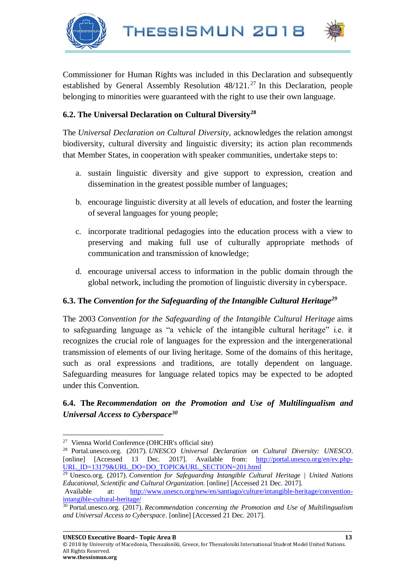THESSISMUN 2018





Commissioner for Human Rights was included in this Declaration and subsequently established by General Assembly Resolution  $48/121$ .<sup>27</sup> In this Declaration, people belonging to minorities were guaranteed with the right to use their own language.

#### **6.2. The Universal Declaration on Cultural Diversity<sup>28</sup>**

The *Universal Declaration on Cultural Diversity*, acknowledges the relation amongst biodiversity, cultural diversity and linguistic diversity; its action plan recommends that Member States, in cooperation with speaker communities, undertake steps to:

- a. sustain linguistic diversity and give support to expression, creation and dissemination in the greatest possible number of languages;
- b. encourage linguistic diversity at all levels of education, and foster the learning of several languages for young people;
- c. incorporate traditional pedagogies into the education process with a view to preserving and making full use of culturally appropriate methods of communication and transmission of knowledge;
- d. encourage universal access to information in the public domain through the global network, including the promotion of linguistic diversity in cyberspace.

#### **6.3. The** *Convention for the Safeguarding of the Intangible Cultural Heritage<sup>29</sup>*

The 2003 *Convention for the Safeguarding of the Intangible Cultural Heritage* aims to safeguarding language as "a vehicle of the intangible cultural heritage" i.e. it recognizes the crucial role of languages for the expression and the intergenerational transmission of elements of our living heritage. Some of the domains of this heritage, such as oral expressions and traditions, are totally dependent on language. Safeguarding measures for language related topics may be expected to be adopted under this Convention.

#### **6.4. The** *Recommendation on the Promotion and Use of Multilingualism and Universal Access to Cyberspace<sup>30</sup>*

 $\overline{\phantom{a}}$ <sup>27</sup> Vienna World Conference (OHCHR's official site)

<sup>28</sup> Portal.unesco.org. (2017). *UNESCO Universal Declaration on Cultural Diversity: UNESCO*. [online] [Accessed 13 Dec. 2017]. Available from: [http://portal.unesco.org/en/ev.php-](http://portal.unesco.org/en/ev.php-URL_ID=13179&URL_DO=DO_TOPIC&URL_SECTION=201.html)[URL\\_ID=13179&URL\\_DO=DO\\_TOPIC&URL\\_SECTION=201.html](http://portal.unesco.org/en/ev.php-URL_ID=13179&URL_DO=DO_TOPIC&URL_SECTION=201.html)

<sup>29</sup> Unesco.org. (2017). *Convention for Safeguarding Intangible Cultural Heritage | United Nations Educational, Scientific and Cultural Organization*. [online] [Accessed 21 Dec. 2017].

Available at: [http://www.unesco.org/new/en/santiago/culture/intangible-heritage/convention](http://www.unesco.org/new/en/santiago/culture/intangible-heritage/convention-intangible-cultural-heritage/)[intangible-cultural-heritage/](http://www.unesco.org/new/en/santiago/culture/intangible-heritage/convention-intangible-cultural-heritage/)

<sup>30</sup> Portal.unesco.org. (2017). *Recommendation concerning the Promotion and Use of Multilingualism and Universal Access to Cyberspace*. [online] [Accessed 21 Dec. 2017].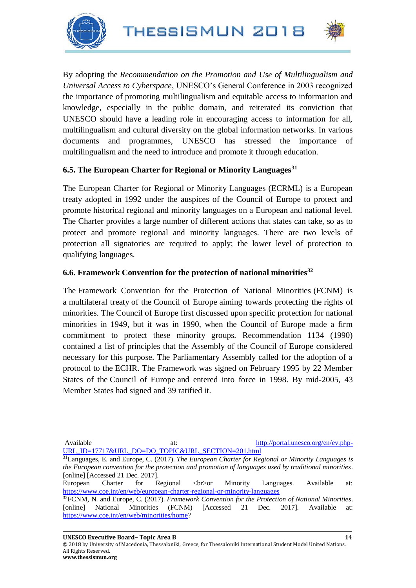



By adopting the *Recommendation on the Promotion and Use of Multilingualism and Universal Access to Cyberspace*, UNESCO's General Conference in 2003 recognized the importance of promoting multilingualism and equitable access to information and knowledge, especially in the public domain, and reiterated its conviction that UNESCO should have a leading role in encouraging access to information for all, multilingualism and cultural diversity on the global information networks. In various documents and programmes, UNESCO has stressed the importance of multilingualism and the need to introduce and promote it through education.

#### **6.5. The European Charter for Regional or Minority Languages<sup>31</sup>**

The European Charter for Regional or Minority Languages (ECRML) is a European treaty adopted in 1992 under the auspices of the Council of Europe to protect and promote historical regional and minority languages on a European and national level. The Charter provides a large number of different actions that states can take, so as to protect and promote regional and minority languages. There are two levels of protection all signatories are required to apply; the lower level of protection to qualifying languages.

#### **6.6. Framework Convention for the protection of national minorities<sup>32</sup>**

The Framework Convention for the Protection of National Minorities (FCNM) is a multilateral treaty of the Council of Europe aiming towards protecting the rights of minorities. The Council of Europe first discussed upon specific protection for national minorities in 1949, but it was in 1990, when the Council of Europe made a firm commitment to protect these minority groups. Recommendation 1134 (1990) contained a list of principles that the Assembly of the Council of Europe considered necessary for this purpose. The Parliamentary Assembly called for the adoption of a protocol to the ECHR. The Framework was signed on February 1995 by 22 Member States of the Council of Europe and entered into force in 1998. By mid-2005, 43 Member States had signed and 39 ratified it.

 $\overline{\phantom{a}}$ 

Available at: [http://portal.unesco.org/en/ev.php-](http://portal.unesco.org/en/ev.php-URL_ID=17717&URL_DO=DO_TOPIC&URL_SECTION=201.html)[URL\\_ID=17717&URL\\_DO=DO\\_TOPIC&URL\\_SECTION=201.html](http://portal.unesco.org/en/ev.php-URL_ID=17717&URL_DO=DO_TOPIC&URL_SECTION=201.html)

European Charter for Regional <br/>  $\langle$  Available at: European Charter for Regional <br/>induction<https://www.coe.int/en/web/european-charter-regional-or-minority-languages>

<sup>31</sup>Languages, E. and Europe, C. (2017). *The European Charter for Regional or Minority Languages is the European convention for the protection and promotion of languages used by traditional minorities*. [online] [Accessed 21 Dec. 2017].

<sup>32</sup>FCNM, N. and Europe, C. (2017). *Framework Convention for the Protection of National Minorities*. [online] National Minorities (FCNM) [Accessed 21 Dec. 2017]. Available at: [https://www.coe.int/en/web/minorities/home?](https://www.coe.int/en/web/minorities/home)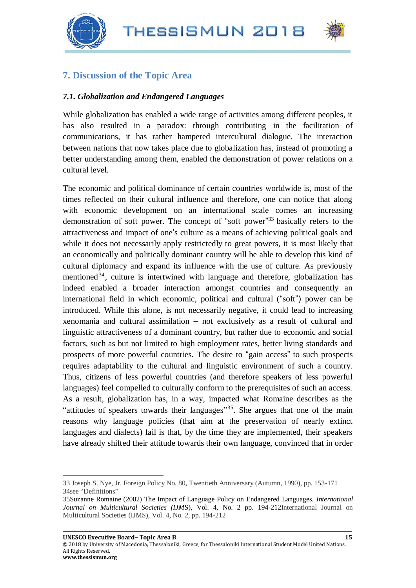



## **7. Discussion of the Topic Area**

#### *7.1. Globalization and Endangered Languages*

While globalization has enabled a wide range of activities among different peoples, it has also resulted in a paradox: through contributing in the facilitation of communications, it has rather hampered intercultural dialogue. The interaction between nations that now takes place due to globalization has, instead of promoting a better understanding among them, enabled the demonstration of power relations on a cultural level.

The economic and political dominance of certain countries worldwide is, most of the times reflected on their cultural influence and therefore, one can notice that along with economic development on an international scale comes an increasing demonstration of soft power. The concept of "soft power" <sup>33</sup> basically refers to the attractiveness and impact of one's culture as a means of achieving political goals and while it does not necessarily apply restrictedly to great powers, it is most likely that an economically and politically dominant country will be able to develop this kind of cultural diplomacy and expand its influence with the use of culture. As previously mentioned<sup>34</sup>, culture is intertwined with language and therefore, globalization has indeed enabled a broader interaction amongst countries and consequently an international field in which economic, political and cultural ("soft") power can be introduced. While this alone, is not necessarily negative, it could lead to increasing xenomania and cultural assimilation – not exclusively as a result of cultural and linguistic attractiveness of a dominant country, but rather due to economic and social factors, such as but not limited to high employment rates, better living standards and prospects of more powerful countries. The desire to "gain access" to such prospects requires adaptability to the cultural and linguistic environment of such a country. Thus, citizens of less powerful countries (and therefore speakers of less powerful languages) feel compelled to culturally conform to the prerequisites of such an access. As a result, globalization has, in a way, impacted what Romaine describes as the "attitudes of speakers towards their languages"<sup>35</sup>. She argues that one of the main reasons why language policies (that aim at the preservation of nearly extinct languages and dialects) fail is that, by the time they are implemented, their speakers have already shifted their attitude towards their own language, convinced that in order

© 2018 by University of Macedonia, Thessaloniki, Greece, for Thessaloniki International Student Model United Nations. All Rights Reserved.

l

<sup>33</sup> Joseph S. Nye, Jr. Foreign Policy No. 80, Twentieth Anniversary (Autumn, 1990), pp. 153-171 34see "Definitions"

<sup>35</sup>Suzanne Romaine (2002) The Impact of Language Policy on Endangered Languages. *International Journal on Multicultural Societies (IJM*S), Vol. 4, No. 2 pp. 194-212International Journal on Multicultural Societies (IJMS), Vol. 4, No. 2, pp. 194-212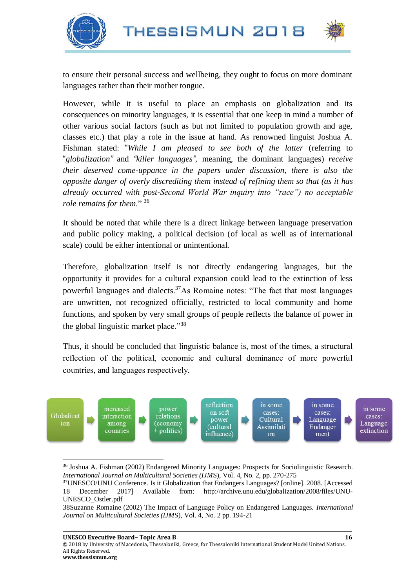





 $\overline{\phantom{a}}$ 

to ensure their personal success and wellbeing, they ought to focus on more dominant languages rather than their mother tongue.

However, while it is useful to place an emphasis on globalization and its consequences on minority languages, it is essential that one keep in mind a number of other various social factors (such as but not limited to population growth and age, classes etc.) that play a role in the issue at hand. As renowned linguist Joshua A. Fishman stated: "*While I am pleased to see both of the latter* (referring to "*globalization"* and *"killer languages",* meaning, the dominant languages) *receive their deserved come-uppance in the papers under discussion, there is also the opposite danger of overly discrediting them instead of refining them so that (as it has already occurred with post-Second World War inquiry into "race") no acceptable role remains for them*." <sup>36</sup>

It should be noted that while there is a direct linkage between language preservation and public policy making, a political decision (of local as well as of international scale) could be either intentional or unintentional.

Therefore, globalization itself is not directly endangering languages, but the opportunity it provides for a cultural expansion could lead to the extinction of less powerful languages and dialects.<sup>37</sup>As Romaine notes: "The fact that most languages are unwritten, not recognized officially, restricted to local community and home functions, and spoken by very small groups of people reflects the balance of power in the global linguistic market place."<sup>38</sup>

Thus, it should be concluded that linguistic balance is, most of the times, a structural reflection of the political, economic and cultural dominance of more powerful countries, and languages respectively.



<sup>36</sup> Joshua A. Fishman (2002) Endangered Minority Languages: Prospects for Sociolinguistic Research. *International Journal on Multicultural Societies (IJM*S), Vol. 4, No. 2, pp. 270-275

<sup>37</sup>UNESCO/UNU Conference. Is it Globalization that Endangers Languages? [online]. 2008. [Accessed 18 December 2017] Available from: [http://archive.unu.edu/globalization/2008/files/UNU-](http://archive.unu.edu/globalization/2008/files/UNU-UNESCO_Ostler.pdf)[UNESCO\\_Ostler.pdf](http://archive.unu.edu/globalization/2008/files/UNU-UNESCO_Ostler.pdf)

<sup>38</sup>Suzanne Romaine (2002) The Impact of Language Policy on Endangered Languages. *International Journal on Multicultural Societies (IJM*S), Vol. 4, No. 2 pp. 194-21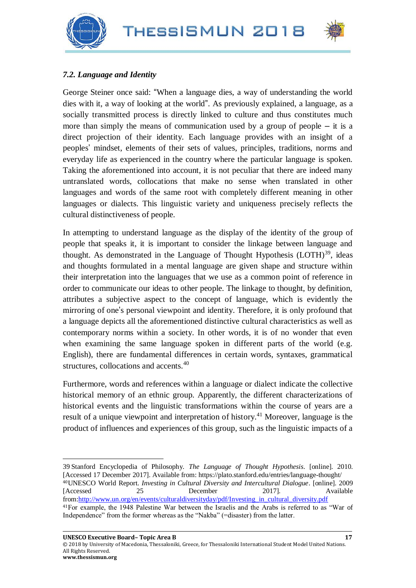



#### *7.2. Language and Identity*

George Steiner once said: "When a language dies, a way of understanding the world dies with it, a way of looking at the world". As previously explained, a language, as a socially transmitted process is directly linked to culture and thus constitutes much more than simply the means of communication used by a group of people  $-$  it is a direct projection of their identity. Each language provides with an insight of a peoples' mindset, elements of their sets of values, principles, traditions, norms and everyday life as experienced in the country where the particular language is spoken. Taking the aforementioned into account, it is not peculiar that there are indeed many untranslated words, collocations that make no sense when translated in other languages and words of the same root with completely different meaning in other languages or dialects. This linguistic variety and uniqueness precisely reflects the cultural distinctiveness of people.

In attempting to understand language as the display of the identity of the group of people that speaks it, it is important to consider the linkage between language and thought. As demonstrated in the Language of Thought Hypothesis  $(LOTH)<sup>39</sup>$ , ideas and thoughts formulated in a mental language are given shape and structure within their interpretation into the languages that we use as a common point of reference in order to communicate our ideas to other people. The linkage to thought, by definition, attributes a subjective aspect to the concept of language, which is evidently the mirroring of one's personal viewpoint and identity. Therefore, it is only profound that a language depicts all the aforementioned distinctive cultural characteristics as well as contemporary norms within a society. In other words, it is of no wonder that even when examining the same language spoken in different parts of the world (e.g. English), there are fundamental differences in certain words, syntaxes, grammatical structures, collocations and accents.<sup>40</sup>

Furthermore, words and references within a language or dialect indicate the collective historical memory of an ethnic group. Apparently, the different characterizations of historical events and the linguistic transformations within the course of years are a result of a unique viewpoint and interpretation of history.<sup>41</sup> Moreover, language is the product of influences and experiences of this group, such as the linguistic impacts of a

l 39 Stanford Encyclopedia of Philosophy. *The Language of Thought Hypothesis*. [online]. 2010. [Accessed 17 December 2017]. Available from:<https://plato.stanford.edu/entries/language-thought/> <sup>40</sup>UNESCO World Report. *Investing in Cultural Diversity and Intercultural Dialogue*. [online]. 2009 [Accessed 25 December 2017]. Available from[:http://www.un.org/en/events/culturaldiversityday/pdf/Investing\\_in\\_cultural\\_diversity.pdf](http://www.un.org/en/events/culturaldiversityday/pdf/Investing_in_cultural_diversity.pdf) <sup>41</sup>For example, the 1948 Palestine War between the Israelis and the Arabs is referred to as "War of Independence" from the former whereas as the "Nakba" (=disaster) from the latter.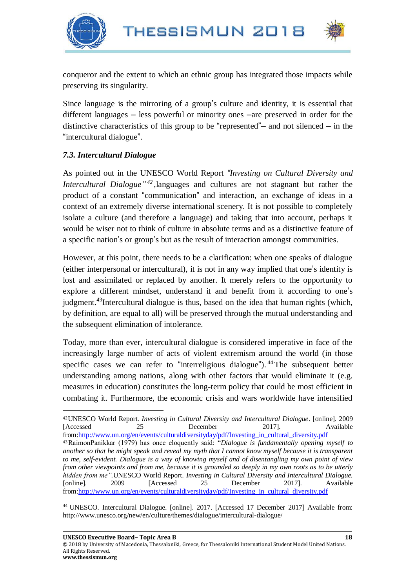



conqueror and the extent to which an ethnic group has integrated those impacts while preserving its singularity.

Since language is the mirroring of a group's culture and identity, it is essential that different languages – less powerful or minority ones –are preserved in order for the distinctive characteristics of this group to be "represented"– and not silenced – in the "intercultural dialogue".

## *7.3. Intercultural Dialogue*

 $\overline{\phantom{a}}$ 

As pointed out in the UNESCO World Report *"Investing on Cultural Diversity and Intercultural Dialogue" <sup>42</sup>* ,languages and cultures are not stagnant but rather the product of a constant "communication" and interaction, an exchange of ideas in a context of an extremely diverse international scenery. It is not possible to completely isolate a culture (and therefore a language) and taking that into account, perhaps it would be wiser not to think of culture in absolute terms and as a distinctive feature of a specific nation's or group's but as the result of interaction amongst communities.

However, at this point, there needs to be a clarification: when one speaks of dialogue (either interpersonal or intercultural), it is not in any way implied that one's identity is lost and assimilated or replaced by another. It merely refers to the opportunity to explore a different mindset, understand it and benefit from it according to one's judgment.<sup>43</sup>Intercultural dialogue is thus, based on the idea that human rights (which, by definition, are equal to all) will be preserved through the mutual understanding and the subsequent elimination of intolerance.

Today, more than ever, intercultural dialogue is considered imperative in face of the increasingly large number of acts of violent extremism around the world (in those specific cases we can refer to "interreligious dialogue"). <sup>44</sup> The subsequent better understanding among nations, along with other factors that would eliminate it (e.g. measures in education) constitutes the long-term policy that could be most efficient in combating it. Furthermore, the economic crisis and wars worldwide have intensified

<sup>44</sup> UNESCO. Intercultural Dialogue. [online]. 2017. [Accessed 17 December 2017] Available from: http://www.unesco.org/new/en/culture/themes/dialogue/intercultural-dialogue/

<sup>42</sup>UNESCO World Report. *Investing in Cultural Diversity and Intercultural Dialogue*. [online]. 2009 [Accessed 25 December 2017]. Available from[:http://www.un.org/en/events/culturaldiversityday/pdf/Investing\\_in\\_cultural\\_diversity.pdf](http://www.un.org/en/events/culturaldiversityday/pdf/Investing_in_cultural_diversity.pdf)

<sup>43</sup>RaimonPanikkar (1979) has once eloquently said: "*Dialogue is fundamentally opening myself to another so that he might speak and reveal my myth that I cannot know myself because it is transparent to me, self-evident. Dialogue is a way of knowing myself and of disentangling my own point of view from other viewpoints and from me, because it is grounded so deeply in my own roots as to be utterly hidden from me".*UNESCO World Report. *Investing in Cultural Diversity and Intercultural Dialogue.* [online]. 2009 [Accessed 25 December 2017]. Available from[:http://www.un.org/en/events/culturaldiversityday/pdf/Investing\\_in\\_cultural\\_diversity.pdf](http://www.un.org/en/events/culturaldiversityday/pdf/Investing_in_cultural_diversity.pdf)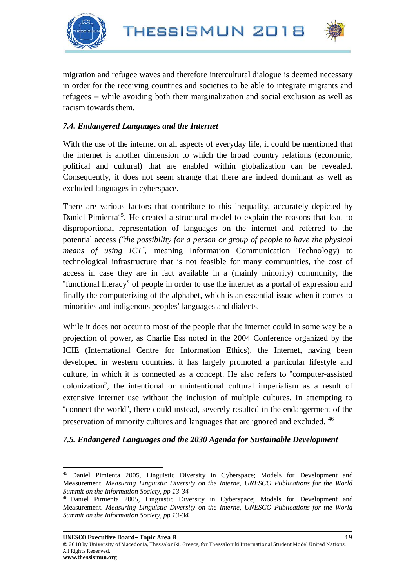

 $\overline{\phantom{a}}$ 



migration and refugee waves and therefore intercultural dialogue is deemed necessary in order for the receiving countries and societies to be able to integrate migrants and refugees – while avoiding both their marginalization and social exclusion as well as racism towards them.

#### *7.4. Endangered Languages and the Internet*

With the use of the internet on all aspects of everyday life, it could be mentioned that the internet is another dimension to which the broad country relations (economic, political and cultural) that are enabled within globalization can be revealed. Consequently, it does not seem strange that there are indeed dominant as well as excluded languages in cyberspace.

There are various factors that contribute to this inequality, accurately depicted by Daniel Pimienta<sup>45</sup>. He created a structural model to explain the reasons that lead to disproportional representation of languages on the internet and referred to the potential access *("the possibility for a person or group of people to have the physical means of using ICT"*, meaning Information Communication Technology) to technological infrastructure that is not feasible for many communities, the cost of access in case they are in fact available in a (mainly minority) community, the "functional literacy" of people in order to use the internet as a portal of expression and finally the computerizing of the alphabet, which is an essential issue when it comes to minorities and indigenous peoples' languages and dialects.

While it does not occur to most of the people that the internet could in some way be a projection of power, as Charlie Ess noted in the 2004 Conference organized by the ICIE (International Centre for Information Ethics), the Internet, having been developed in western countries, it has largely promoted a particular lifestyle and culture, in which it is connected as a concept. He also refers to "computer-assisted colonization", the intentional or unintentional cultural imperialism as a result of extensive internet use without the inclusion of multiple cultures. In attempting to "connect the world", there could instead, severely resulted in the endangerment of the preservation of minority cultures and languages that are ignored and excluded. <sup>46</sup>

#### *7.5. Endangered Languages and the 2030 Agenda for Sustainable Development*

<sup>45</sup> Daniel Pimienta 2005, Linguistic Diversity in Cyberspace; Models for Development and Measurement. *Measuring Linguistic Diversity on the Interne, UNESCO Publications for the World Summit on the Information Society, pp 13-34*

<sup>46</sup> Daniel Pimienta 2005, Linguistic Diversity in Cyberspace; Models for Development and Measurement. *Measuring Linguistic Diversity on the Interne, UNESCO Publications for the World Summit on the Information Society, pp 13-34*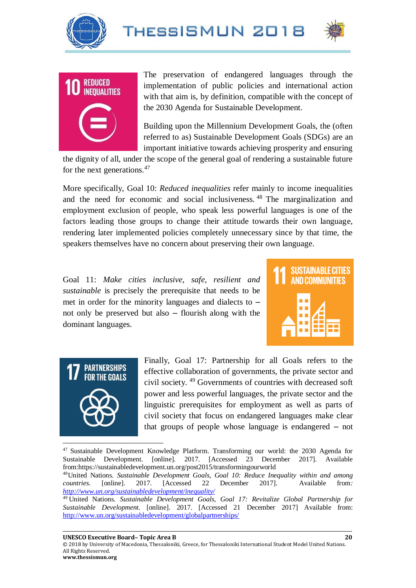





The preservation of endangered languages through the implementation of public policies and international action with that aim is, by definition, compatible with the concept of the 2030 Agenda for Sustainable Development.

Building upon the Millennium Development Goals, the (often referred to as) Sustainable Development Goals (SDGs) are an important initiative towards achieving prosperity and ensuring

the dignity of all, under the scope of the general goal of rendering a sustainable future for the next generations.<sup>47</sup>

More specifically, Goal 10: *Reduced inequalities* refer mainly to income inequalities and the need for economic and social inclusiveness. <sup>48</sup> The marginalization and employment exclusion of people, who speak less powerful languages is one of the factors leading those groups to change their attitude towards their own language, rendering later implemented policies completely unnecessary since by that time, the speakers themselves have no concern about preserving their own language.

Goal 11: *Make cities inclusive, safe, resilient and sustainable* is precisely the prerequisite that needs to be met in order for the minority languages and dialects to – not only be preserved but also – flourish along with the dominant languages.





Finally, Goal 17: Partnership for all Goals refers to the effective collaboration of governments, the private sector and civil society. <sup>49</sup> Governments of countries with decreased soft power and less powerful languages, the private sector and the linguistic prerequisites for employment as well as parts of civil society that focus on endangered languages make clear that groups of people whose language is endangered – not

<sup>47</sup> Sustainable Development Knowledge Platform. Transforming our world: the 2030 Agenda for Sustainable Development. [online]. 2017. [Accessed 23 December 2017]. Available from[:https://sustainabledevelopment.un.org/post2015/transformingourworld](https://sustainabledevelopment.un.org/post2015/transformingourworld) 

<sup>48</sup>United Nations. *Sustainable Development Goals, Goal 10: Reduce Inequality within and among countries*. [online]. 2017. [Accessed 22 December 2017]. Available from*: <http://www.un.org/sustainabledevelopment/inequality/>*

**UNESCO Executive Board– Topic Area B 20**

© 2018 by University of Macedonia, Thessaloniki, Greece, for Thessaloniki International Student Model United Nations. All Rights Reserved. **www.thessismun.org**

<sup>49</sup> United Nations. *Sustainable Development Goals, Goal 17: Revitalize Global Partnership for Sustainable Development.* [online]. 2017. [Accessed 21 December 2017] Available from: <http://www.un.org/sustainabledevelopment/globalpartnerships/>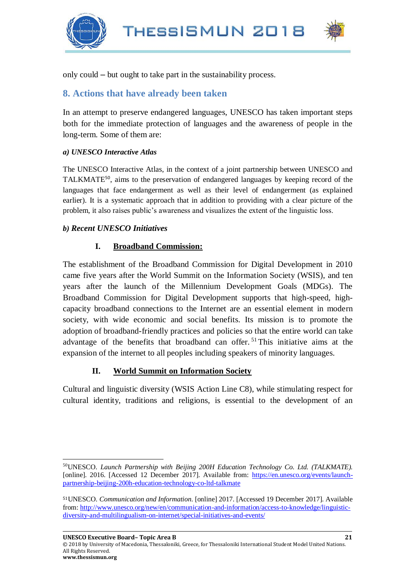

only could – but ought to take part in the sustainability process.

#### **8. Actions that have already been taken**

In an attempt to preserve endangered languages, UNESCO has taken important steps both for the immediate protection of languages and the awareness of people in the long-term. Some of them are:

#### *a) UNESCO Interactive Atlas*

The UNESCO Interactive Atlas, in the context of a joint partnership between UNESCO and TALKMATE<sup>50</sup>, aims to the preservation of endangered languages by keeping record of the languages that face endangerment as well as their level of endangerment (as explained earlier). It is a systematic approach that in addition to providing with a clear picture of the problem, it also raises public's awareness and visualizes the extent of the linguistic loss.

#### *b) Recent UNESCO Initiatives*

#### **I. Broadband Commission:**

The establishment of the Broadband Commission for Digital Development in 2010 came five years after the World Summit on the Information Society (WSIS), and ten years after the launch of the Millennium Development Goals (MDGs). The Broadband Commission for Digital Development supports that high-speed, highcapacity broadband connections to the Internet are an essential element in modern society, with wide economic and social benefits. Its mission is to promote the adoption of broadband-friendly practices and policies so that the entire world can take advantage of the benefits that broadband can offer.<sup>51</sup>This initiative aims at the expansion of the internet to all peoples including speakers of minority languages.

#### **II. World Summit on Information Society**

Cultural and linguistic diversity (WSIS Action Line C8), while stimulating respect for cultural identity, traditions and religions, is essential to the development of an

© 2018 by University of Macedonia, Thessaloniki, Greece, for Thessaloniki International Student Model United Nations. All Rights Reserved.

 $\overline{\phantom{a}}$ 

<sup>50</sup>UNESCO. *Launch Partnership with Beijing 200H Education Technology Co. Ltd. (TALKMATE).*  [online]. 2016. [Accessed 12 December 2017]. Available from: [https://en.unesco.org/events/launch](https://en.unesco.org/events/launch-partnership-beijing-200h-education-technology-co-ltd-talkmate)[partnership-beijing-200h-education-technology-co-ltd-talkmate](https://en.unesco.org/events/launch-partnership-beijing-200h-education-technology-co-ltd-talkmate)

<sup>51</sup>UNESCO. *Communication and Information*. [online] 2017. [Accessed 19 December 2017]. Available from[: http://www.unesco.org/new/en/communication-and-information/access-to-knowledge/linguistic](http://www.unesco.org/new/en/communication-and-information/access-to-knowledge/linguistic-diversity-and-multilingualism-on-internet/special-initiatives-and-events/)[diversity-and-multilingualism-on-internet/special-initiatives-and-events/](http://www.unesco.org/new/en/communication-and-information/access-to-knowledge/linguistic-diversity-and-multilingualism-on-internet/special-initiatives-and-events/)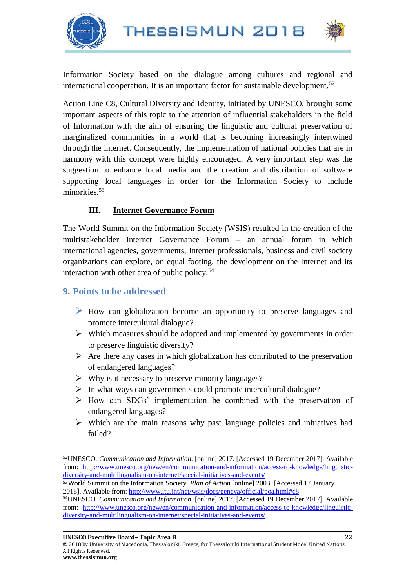THESSISMUN 2018





Information Society based on the dialogue among cultures and regional and international cooperation. It is an important factor for sustainable development.<sup>52</sup>

Action Line C8, Cultural Diversity and Identity, initiated by UNESCO, brought some important aspects of this topic to the attention of influential stakeholders in the field of Information with the aim of ensuring the linguistic and cultural preservation of marginalized communities in a world that is becoming increasingly intertwined through the internet. Consequently, the implementation of national policies that are in harmony with this concept were highly encouraged. A very important step was the suggestion to enhance local media and the creation and distribution of software supporting local languages in order for the Information Society to include minorities.<sup>53</sup>

#### **III. Internet Governance Forum**

The World Summit on the Information Society (WSIS) resulted in the creation of the multistakeholder Internet Governance Forum – an annual forum in which international agencies, governments, Internet professionals, business and civil society organizations can explore, on equal footing, the development on the Internet and its interaction with other area of public policy.<sup>54</sup>

#### **9. Points to be addressed**

- ➢ How can globalization become an opportunity to preserve languages and promote intercultural dialogue?
- ➢ Which measures should be adopted and implemented by governments in order to preserve linguistic diversity?
- $\triangleright$  Are there any cases in which globalization has contributed to the preservation of endangered languages?
- ➢ Why is it necessary to preserve minority languages?
- $\triangleright$  In what ways can governments could promote intercultural dialogue?
- ➢ How can SDGs' implementation be combined with the preservation of endangered languages?
- ➢ Which are the main reasons why past language policies and initiatives had failed?

<sup>53</sup>World Summit on the Information Society. *Plan of Action* [online] 2003. [Accessed 17 January 2018]. Available from[: http://www.itu.int/net/wsis/docs/geneva/official/poa.html#c8](http://www.itu.int/net/wsis/docs/geneva/official/poa.html#c8)

l <sup>52</sup>UNESCO. *Communication and Information*. [online] 2017. [Accessed 19 December 2017]. Available from: [http://www.unesco.org/new/en/communication-and-information/access-to-knowledge/linguistic](http://www.unesco.org/new/en/communication-and-information/access-to-knowledge/linguistic-diversity-and-multilingualism-on-internet/special-initiatives-and-events/)[diversity-and-multilingualism-on-internet/special-initiatives-and-events/](http://www.unesco.org/new/en/communication-and-information/access-to-knowledge/linguistic-diversity-and-multilingualism-on-internet/special-initiatives-and-events/)

<sup>54</sup>UNESCO. *Communication and Information*. [online] 2017. [Accessed 19 December 2017]. Available from: [http://www.unesco.org/new/en/communication-and-information/access-to-knowledge/linguistic](http://www.unesco.org/new/en/communication-and-information/access-to-knowledge/linguistic-diversity-and-multilingualism-on-internet/special-initiatives-and-events/)[diversity-and-multilingualism-on-internet/special-initiatives-and-events/](http://www.unesco.org/new/en/communication-and-information/access-to-knowledge/linguistic-diversity-and-multilingualism-on-internet/special-initiatives-and-events/)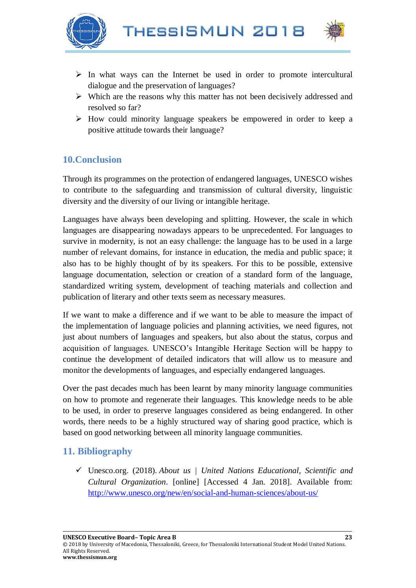



- $\triangleright$  In what ways can the Internet be used in order to promote intercultural dialogue and the preservation of languages?
- ➢ Which are the reasons why this matter has not been decisively addressed and resolved so far?
- ➢ How could minority language speakers be empowered in order to keep a positive attitude towards their language?

## **10.Conclusion**

Through its programmes on the protection of endangered languages, UNESCO wishes to contribute to the safeguarding and transmission of cultural diversity, linguistic diversity and the diversity of our living or intangible heritage.

Languages have always been developing and splitting. However, the scale in which languages are disappearing nowadays appears to be unprecedented. For languages to survive in modernity, is not an easy challenge: the language has to be used in a large number of relevant domains, for instance in education, the media and public space; it also has to be highly thought of by its speakers. For this to be possible, extensive language documentation, selection or creation of a standard form of the language, standardized writing system, development of teaching materials and collection and publication of literary and other texts seem as necessary measures.

If we want to make a difference and if we want to be able to measure the impact of the implementation of language policies and planning activities, we need figures, not just about numbers of languages and speakers, but also about the status, corpus and acquisition of languages. UNESCO's Intangible Heritage Section will be happy to continue the development of detailed indicators that will allow us to measure and monitor the developments of languages, and especially endangered languages.

Over the past decades much has been learnt by many minority language communities on how to promote and regenerate their languages. This knowledge needs to be able to be used, in order to preserve languages considered as being endangered. In other words, there needs to be a highly structured way of sharing good practice, which is based on good networking between all minority language communities.

## **11. Bibliography**

✓ Unesco.org. (2018). *About us | United Nations Educational, Scientific and Cultural Organization*. [online] [Accessed 4 Jan. 2018]. Available from: <http://www.unesco.org/new/en/social-and-human-sciences/about-us/>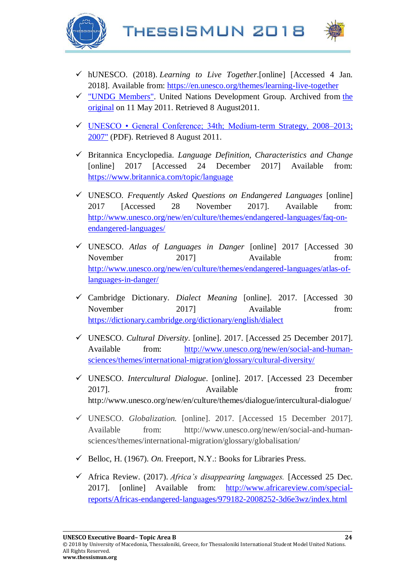



- ✓ hUNESCO. (2018). *Learning to Live Together*[.\[online\] \[Accessed 4 Jan.](http://en.unesco.org/themes/learning-live-together)  [2018\].](http://en.unesco.org/themes/learning-live-together) Available from:<https://en.unesco.org/themes/learning-live-together>
- ✓ ["UNDG Members".](https://web.archive.org/web/20110511144047/http:/www.undg.org/index.cfm?P=13) United Nations Development Group. Archived from [the](http://www.undg.org/index.cfm?P=13)  [original](http://www.undg.org/index.cfm?P=13) on 11 May 2011. Retrieved 8 August2011.
- ✓ [UNESCO General Conference; 34th; Medium-term Strategy, 2008–2013;](http://unesdoc.unesco.org/images/0014/001499/149999e.pdf)  [2007"](http://unesdoc.unesco.org/images/0014/001499/149999e.pdf) (PDF). Retrieved 8 August 2011.
- ✓ Britannica Encyclopedia. *Language Definition, Characteristics and Change* [online] 2017 [Accessed 24 December 2017] Available from: <https://www.britannica.com/topic/language>
- ✓ UNESCO*. Frequently Asked Questions on Endangered Languages* [online] 2017 [Accessed 28 November 2017]. Available from: [http://www.unesco.org/new/en/culture/themes/endangered-languages/faq-on](http://www.unesco.org/new/en/culture/themes/endangered-languages/faq-on-endangered-languages/)[endangered-languages/](http://www.unesco.org/new/en/culture/themes/endangered-languages/faq-on-endangered-languages/)
- ✓ UNESCO. *Atlas of Languages in Danger* [online] 2017 [Accessed 30 November 2017] Available from: [http://www.unesco.org/new/en/culture/themes/endangered-languages/atlas-of](http://www.unesco.org/new/en/culture/themes/endangered-languages/atlas-of-languages-in-danger/)[languages-in-danger/](http://www.unesco.org/new/en/culture/themes/endangered-languages/atlas-of-languages-in-danger/)
- ✓ Cambridge Dictionary. *Dialect Meaning* [online]. 2017. [Accessed 30 November 2017] Available from: <https://dictionary.cambridge.org/dictionary/english/dialect>
- ✓ UNESCO. *Cultural Diversity*. [online]. 2017. [Accessed 25 December 2017]. Available from: [http://www.unesco.org/new/en/social-and-human](http://www.unesco.org/new/en/social-and-human-sciences/themes/international-migration/glossary/cultural-diversity/)[sciences/themes/international-migration/glossary/cultural-diversity/](http://www.unesco.org/new/en/social-and-human-sciences/themes/international-migration/glossary/cultural-diversity/)
- ✓ UNESCO. *Intercultural Dialogue*. [online]. 2017. [Accessed 23 December 2017]. Available from: <http://www.unesco.org/new/en/culture/themes/dialogue/intercultural-dialogue/>
- ✓ UNESCO. *Globalization.* [online]. 2017. [Accessed 15 December 2017]. Available from: [http://www.unesco.org/new/en/social-and-human](http://www.unesco.org/new/en/social-and-human-sciences/themes/international-migration/glossary/globalisation/)[sciences/themes/international-migration/glossary/globalisation/](http://www.unesco.org/new/en/social-and-human-sciences/themes/international-migration/glossary/globalisation/)
- ✓ Belloc, H. (1967). *On*. Freeport, N.Y.: Books for Libraries Press.
- ✓ Africa Review. (2017). *Africa's disappearing languages.* [Accessed 25 Dec. 2017]. [online] Available from: [http://www.africareview.com/special](http://www.africareview.com/special-reports/Africas-endangered-languages/979182-2008252-3d6e3wz/index.html)[reports/Africas-endangered-languages/979182-2008252-3d6e3wz/index.html](http://www.africareview.com/special-reports/Africas-endangered-languages/979182-2008252-3d6e3wz/index.html)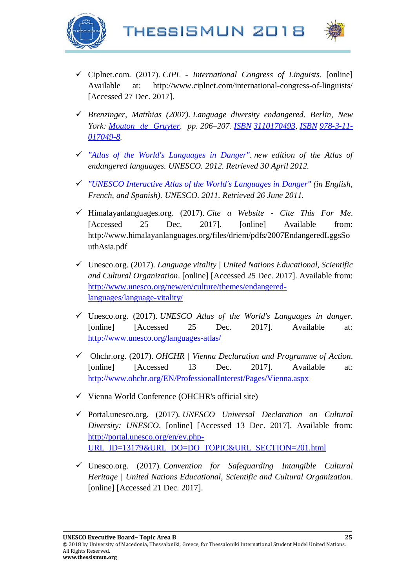



- ✓ Ciplnet.com. (2017). *CIPL - International Congress of Linguists*. [online] Available at: http://www.ciplnet.com/international-congress-of-linguists/ [Accessed 27 Dec. 2017].
- ✓ *Brenzinger, Matthias (2007). Language diversity endangered. Berlin, New York: [Mouton de Gruyter.](https://en.wikipedia.org/wiki/Mouton_de_Gruyter) pp. 206–207. [ISBN](https://en.wikipedia.org/wiki/International_Standard_Book_Number_(identifier)) [3110170493,](https://en.wikipedia.org/wiki/Special:BookSources/3110170493) [ISBN](https://en.wikipedia.org/wiki/International_Standard_Book_Number_(identifier)) [978-3-11-](https://en.wikipedia.org/wiki/Special:BookSources/978-3-11-017049-8) [017049-8.](https://en.wikipedia.org/wiki/Special:BookSources/978-3-11-017049-8)*
- ✓ *["Atlas of the World's Languages in Danger".](http://www.unesco.org/new/en/culture/themes/endangered-languages/atlas-of-languages-in-danger/) new edition of the Atlas of endangered languages. UNESCO. 2012. Retrieved 30 April 2012.*
- ✓ *["UNESCO Interactive Atlas of the World's Languages in Danger"](http://www.unesco.org/new/en/culture/themes/endangered-languages/atlas-of-languages-in-danger/) (in English, French, and Spanish). UNESCO. 2011. Retrieved 26 June 2011.*
- ✓ Himalayanlanguages.org. (2017). *Cite a Website - Cite This For Me*. [Accessed 25 Dec. 2017]. [online] Available from: http://www.himalayanlanguages.org/files/driem/pdfs/2007EndangeredLggsSo uthAsia.pdf
- ✓ Unesco.org. (2017). *Language vitality | United Nations Educational, Scientific and Cultural Organization*. [online] [Accessed 25 Dec. 2017]. Available from: [http://www.unesco.org/new/en/culture/themes/endangered](http://www.unesco.org/new/en/culture/themes/endangered-languages/language-vitality/)[languages/language-vitality/](http://www.unesco.org/new/en/culture/themes/endangered-languages/language-vitality/)
- ✓ Unesco.org. (2017). *UNESCO Atlas of the World's Languages in danger*. [online] [Accessed 25 Dec. 2017]. Available at: <http://www.unesco.org/languages-atlas/>
- ✓ Ohchr.org. (2017). *OHCHR | Vienna Declaration and Programme of Action*. [online] [Accessed 13 Dec. 2017]. Available at: <http://www.ohchr.org/EN/ProfessionalInterest/Pages/Vienna.aspx>
- $\checkmark$  Vienna World Conference (OHCHR's official site)
- ✓ Portal.unesco.org. (2017). *UNESCO Universal Declaration on Cultural Diversity: UNESCO*. [online] [Accessed 13 Dec. 2017]. Available from: [http://portal.unesco.org/en/ev.php-](http://portal.unesco.org/en/ev.php-URL_ID=13179&URL_DO=DO_TOPIC&URL_SECTION=201.html)[URL\\_ID=13179&URL\\_DO=DO\\_TOPIC&URL\\_SECTION=201.html](http://portal.unesco.org/en/ev.php-URL_ID=13179&URL_DO=DO_TOPIC&URL_SECTION=201.html)
- ✓ Unesco.org. (2017). *Convention for Safeguarding Intangible Cultural Heritage | United Nations Educational, Scientific and Cultural Organization*. [online] [Accessed 21 Dec. 2017].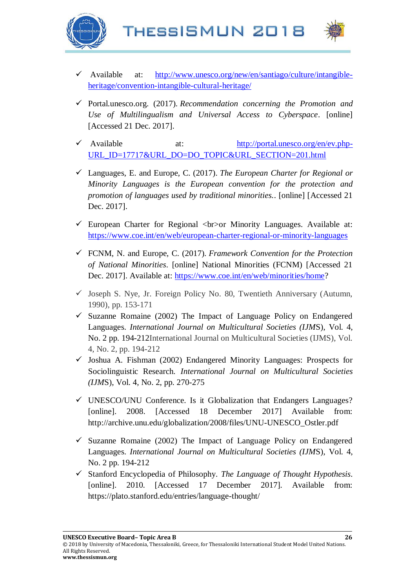



- Available at: [http://www.unesco.org/new/en/santiago/culture/intangible](http://www.unesco.org/new/en/santiago/culture/intangible-heritage/convention-intangible-cultural-heritage/)[heritage/convention-intangible-cultural-heritage/](http://www.unesco.org/new/en/santiago/culture/intangible-heritage/convention-intangible-cultural-heritage/)
- ✓ Portal.unesco.org. (2017). *Recommendation concerning the Promotion and Use of Multilingualism and Universal Access to Cyberspace*. [online] [Accessed 21 Dec. 2017].
- ✓ Available at: [http://portal.unesco.org/en/ev.php-](http://portal.unesco.org/en/ev.php-URL_ID=17717&URL_DO=DO_TOPIC&URL_SECTION=201.html)[URL\\_ID=17717&URL\\_DO=DO\\_TOPIC&URL\\_SECTION=201.html](http://portal.unesco.org/en/ev.php-URL_ID=17717&URL_DO=DO_TOPIC&URL_SECTION=201.html)
- ✓ Languages, E. and Europe, C. (2017). *The European Charter for Regional or Minority Languages is the European convention for the protection and promotion of languages used by traditional minorities.*. [online] [Accessed 21 Dec. 2017].
- $\checkmark$  European Charter for Regional  $\checkmark$  -or Minority Languages. Available at: <https://www.coe.int/en/web/european-charter-regional-or-minority-languages>
- ✓ FCNM, N. and Europe, C. (2017). *Framework Convention for the Protection of National Minorities*. [online] National Minorities (FCNM) [Accessed 21 Dec. 2017]. Available at: [https://www.coe.int/en/web/minorities/home?](https://www.coe.int/en/web/minorities/home)
- $\checkmark$  Joseph S. Nye, Jr. Foreign Policy No. 80, Twentieth Anniversary (Autumn, 1990), pp. 153-171
- $\checkmark$  Suzanne Romaine (2002) The Impact of Language Policy on Endangered Languages. *International Journal on Multicultural Societies (IJM*S), Vol. 4, No. 2 pp. 194-212International Journal on Multicultural Societies (IJMS), Vol. 4, No. 2, pp. 194-212
- $\checkmark$  Joshua A. Fishman (2002) Endangered Minority Languages: Prospects for Sociolinguistic Research. *International Journal on Multicultural Societies (IJM*S), Vol. 4, No. 2, pp. 270-275
- $\checkmark$  UNESCO/UNU Conference. Is it Globalization that Endangers Languages? [online]. 2008. [Accessed 18 December 2017] Available from: [http://archive.unu.edu/globalization/2008/files/UNU-UNESCO\\_Ostler.pdf](http://archive.unu.edu/globalization/2008/files/UNU-UNESCO_Ostler.pdf)
- $\checkmark$  Suzanne Romaine (2002) The Impact of Language Policy on Endangered Languages. *International Journal on Multicultural Societies (IJM*S), Vol. 4, No. 2 pp. 194-212
- ✓ Stanford Encyclopedia of Philosophy. *The Language of Thought Hypothesis*. [online]. 2010. [Accessed 17 December 2017]. Available from: <https://plato.stanford.edu/entries/language-thought/>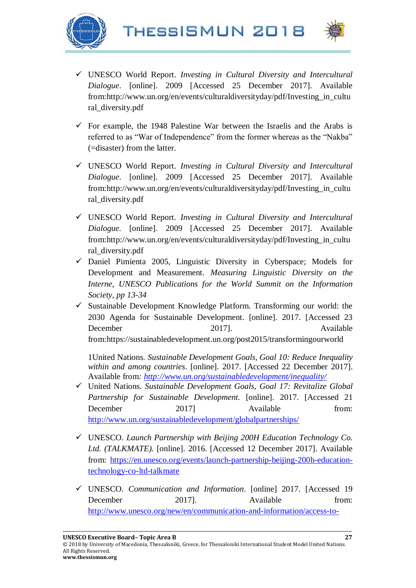





- ✓ UNESCO World Report. *Investing in Cultural Diversity and Intercultural Dialogue*. [online]. 2009 [Accessed 25 December 2017]. Available from[:http://www.un.org/en/events/culturaldiversityday/pdf/Investing\\_in\\_cultu](http://www.un.org/en/events/culturaldiversityday/pdf/Investing_in_cultural_diversity.pdf) [ral\\_diversity.pdf](http://www.un.org/en/events/culturaldiversityday/pdf/Investing_in_cultural_diversity.pdf)
- $\checkmark$  For example, the 1948 Palestine War between the Israelis and the Arabs is referred to as "War of Independence" from the former whereas as the "Nakba" (=disaster) from the latter.
- ✓ UNESCO World Report. *Investing in Cultural Diversity and Intercultural Dialogue*. [online]. 2009 [Accessed 25 December 2017]. Available from[:http://www.un.org/en/events/culturaldiversityday/pdf/Investing\\_in\\_cultu](http://www.un.org/en/events/culturaldiversityday/pdf/Investing_in_cultural_diversity.pdf) [ral\\_diversity.pdf](http://www.un.org/en/events/culturaldiversityday/pdf/Investing_in_cultural_diversity.pdf)
- ✓ UNESCO World Report. *Investing in Cultural Diversity and Intercultural Dialogue.* [online]. 2009 [Accessed 25 December 2017]. Available from[:http://www.un.org/en/events/culturaldiversityday/pdf/Investing\\_in\\_cultu](http://www.un.org/en/events/culturaldiversityday/pdf/Investing_in_cultural_diversity.pdf) [ral\\_diversity.pdf](http://www.un.org/en/events/culturaldiversityday/pdf/Investing_in_cultural_diversity.pdf)
- $\checkmark$  Daniel Pimienta 2005, Linguistic Diversity in Cyberspace; Models for Development and Measurement. *Measuring Linguistic Diversity on the Interne, UNESCO Publications for the World Summit on the Information Society, pp 13-34*
- $\checkmark$  Sustainable Development Knowledge Platform. Transforming our world: the 2030 Agenda for Sustainable Development. [online]. 2017. [Accessed 23 December 2017]. Available from[:https://sustainabledevelopment.un.org/post2015/transformingourworld](https://sustainabledevelopment.un.org/post2015/transformingourworld)

1United Nations. *Sustainable Development Goals, Goal 10: Reduce Inequality within and among countries*. [online]. 2017. [Accessed 22 December 2017]. Available from*:<http://www.un.org/sustainabledevelopment/inequality/>*

- ✓ United Nations. *Sustainable Development Goals, Goal 17: Revitalize Global Partnership for Sustainable Development.* [online]. 2017. [Accessed 21 December 2017] Available from: <http://www.un.org/sustainabledevelopment/globalpartnerships/>
- ✓ UNESCO. *Launch Partnership with Beijing 200H Education Technology Co. Ltd. (TALKMATE).* [online]. 2016. [Accessed 12 December 2017]. Available from: [https://en.unesco.org/events/launch-partnership-beijing-200h-education](https://en.unesco.org/events/launch-partnership-beijing-200h-education-technology-co-ltd-talkmate)[technology-co-ltd-talkmate](https://en.unesco.org/events/launch-partnership-beijing-200h-education-technology-co-ltd-talkmate)
- ✓ UNESCO. *Communication and Information*. [online] 2017. [Accessed 19 December 2017]. Available from: [http://www.unesco.org/new/en/communication-and-information/access-to-](http://www.unesco.org/new/en/communication-and-information/access-to-knowledge/linguistic-diversity-and-multilingualism-on-internet/special-initiatives-and-events/)

**UNESCO Executive Board– Topic Area B 27**